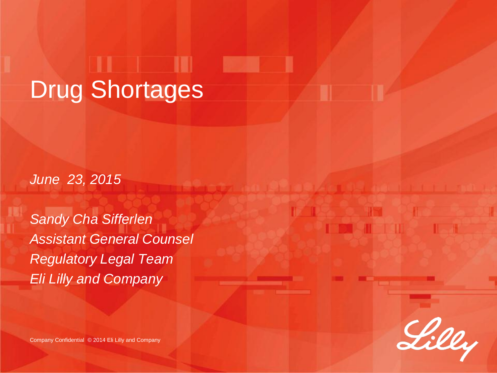# Drug Shortages

*June 23, 2015*

*Sandy Cha Sifferlen Assistant General Counsel Regulatory Legal Team Eli Lilly and Company*

Lilly

Company Confidential © 2014 Eli Lilly and Company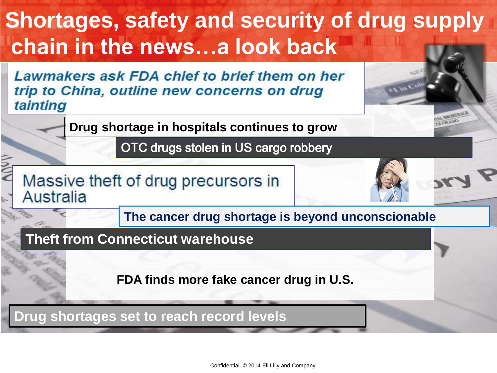#### **Shortages, safety and security of drug supply chain in the news…a look back**

Lawmakers ask FDA chief to brief them on her trip to China, outline new concerns on drug tainting

**Drug shortage in hospitals continues to grow**

OTC drugs stolen in US cargo robbery



**The cancer drug shortage is beyond unconscionable**

#### **Theft from Connecticut warehouse**

**FDA finds more fake cancer drug in U.S.**

**Drug shortages set to reach record levels**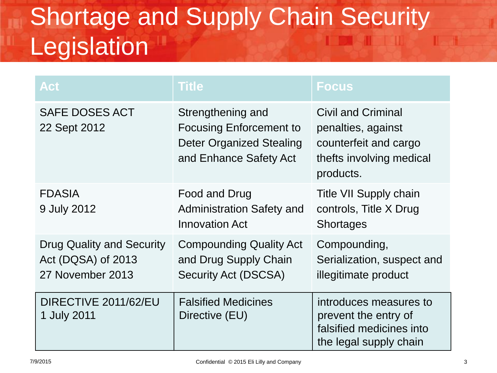### Shortage and Supply Chain Security Legislation

| <b>Act</b>                                                          | <b>Title</b>                                                                                                     | <b>Focus</b>                                                                                                      |
|---------------------------------------------------------------------|------------------------------------------------------------------------------------------------------------------|-------------------------------------------------------------------------------------------------------------------|
| <b>SAFE DOSES ACT</b><br>22 Sept 2012                               | Strengthening and<br><b>Focusing Enforcement to</b><br><b>Deter Organized Stealing</b><br>and Enhance Safety Act | <b>Civil and Criminal</b><br>penalties, against<br>counterfeit and cargo<br>thefts involving medical<br>products. |
| <b>FDASIA</b><br>9 July 2012                                        | Food and Drug<br><b>Administration Safety and</b><br><b>Innovation Act</b>                                       | Title VII Supply chain<br>controls, Title X Drug<br><b>Shortages</b>                                              |
| Drug Quality and Security<br>Act (DQSA) of 2013<br>27 November 2013 | <b>Compounding Quality Act</b><br>and Drug Supply Chain<br><b>Security Act (DSCSA)</b>                           | Compounding,<br>Serialization, suspect and<br>illegitimate product                                                |
| DIRECTIVE 2011/62/EU<br>1 July 2011                                 | <b>Falsified Medicines</b><br>Directive (EU)                                                                     | introduces measures to<br>prevent the entry of<br>falsified medicines into<br>the legal supply chain              |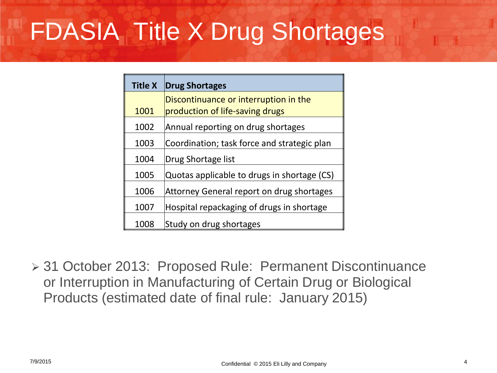# FDASIA Title X Drug Shortages

| <b>Title X</b> | <b>Drug Shortages</b>                       |
|----------------|---------------------------------------------|
|                | Discontinuance or interruption in the       |
| 1001           | production of life-saving drugs             |
| 1002           | Annual reporting on drug shortages          |
| 1003           | Coordination; task force and strategic plan |
| 1004           | Drug Shortage list                          |
| 1005           | Quotas applicable to drugs in shortage (CS) |
| 1006           | Attorney General report on drug shortages   |
| 1007           | Hospital repackaging of drugs in shortage   |
| 1008           | Study on drug shortages                     |

 31 October 2013: Proposed Rule: Permanent Discontinuance or Interruption in Manufacturing of Certain Drug or Biological Products (estimated date of final rule: January 2015)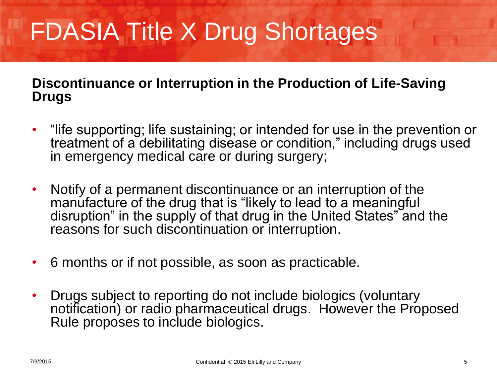# FDASIA Title X Drug Shortages

#### **Discontinuance or Interruption in the Production of Life-Saving Drugs**

- "life supporting; life sustaining; or intended for use in the prevention or treatment of a debilitating disease or condition," including drugs used in emergency medical care or during surgery;
- Notify of a permanent discontinuance or an interruption of the manufacture of the drug that is "likely to lead to a meaningful disruption" in the supply of that drug in the United States" and the reasons for such discontinuation or interruption.
- 6 months or if not possible, as soon as practicable.
- Drugs subject to reporting do not include biologics (voluntary notification) or radio pharmaceutical drugs. However the Proposed Rule proposes to include biologics.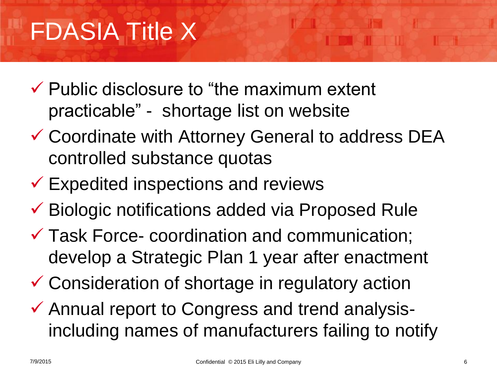## FDASIA Title X

- $\checkmark$  Public disclosure to "the maximum extent" practicable" - shortage list on website
- Coordinate with Attorney General to address DEA controlled substance quotas
- $\checkmark$  Expedited inspections and reviews
- Biologic notifications added via Proposed Rule
- Task Force- coordination and communication; develop a Strategic Plan 1 year after enactment
- Consideration of shortage in regulatory action
- Annual report to Congress and trend analysisincluding names of manufacturers failing to notify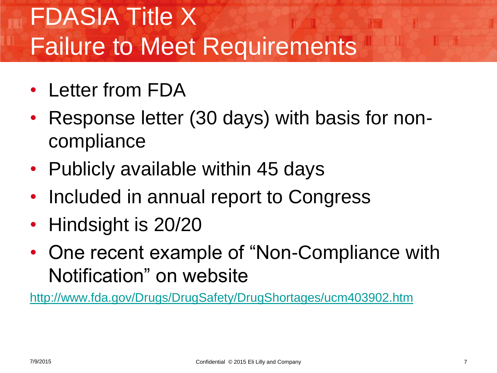# FDASIA Title X Failure to Meet Requirements

- Letter from FDA
- Response letter (30 days) with basis for noncompliance
- Publicly available within 45 days
- Included in annual report to Congress
- Hindsight is 20/20
- One recent example of "Non-Compliance with Notification" on website

<http://www.fda.gov/Drugs/DrugSafety/DrugShortages/ucm403902.htm>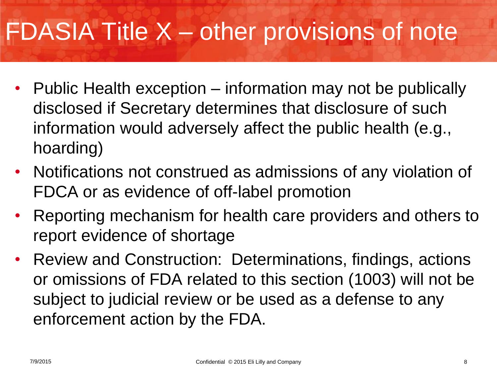# FDASIA Title X – other provisions of note

- Public Health exception information may not be publically disclosed if Secretary determines that disclosure of such information would adversely affect the public health (e.g., hoarding)
- Notifications not construed as admissions of any violation of FDCA or as evidence of off-label promotion
- Reporting mechanism for health care providers and others to report evidence of shortage
- Review and Construction: Determinations, findings, actions or omissions of FDA related to this section (1003) will not be subject to judicial review or be used as a defense to any enforcement action by the FDA.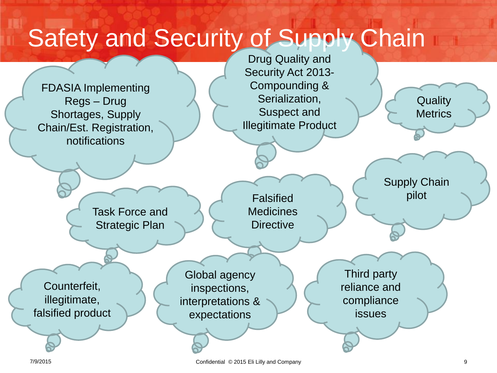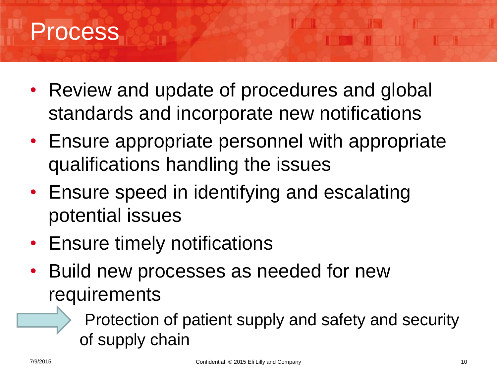#### Process

- Review and update of procedures and global standards and incorporate new notifications
- Ensure appropriate personnel with appropriate qualifications handling the issues
- Ensure speed in identifying and escalating potential issues
- Ensure timely notifications
- Build new processes as needed for new requirements
	- Protection of patient supply and safety and security of supply chain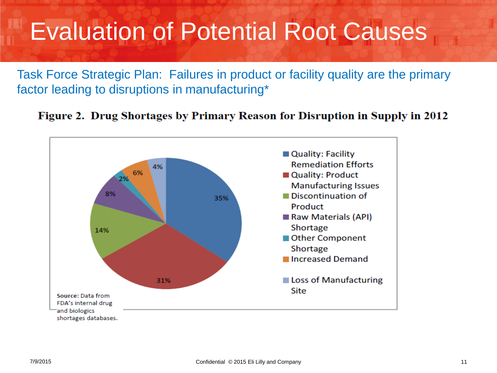#### Evaluation of Potential Root Causes

Task Force Strategic Plan: Failures in product or facility quality are the primary factor leading to disruptions in manufacturing\*



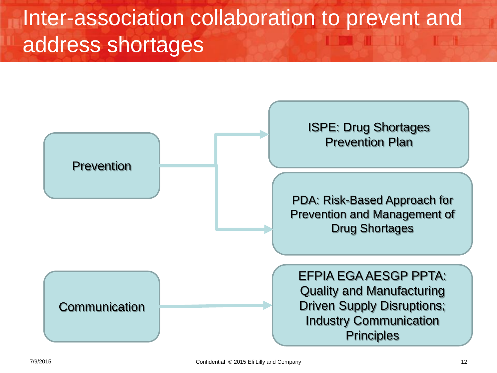#### Inter-association collaboration to prevent and address shortages

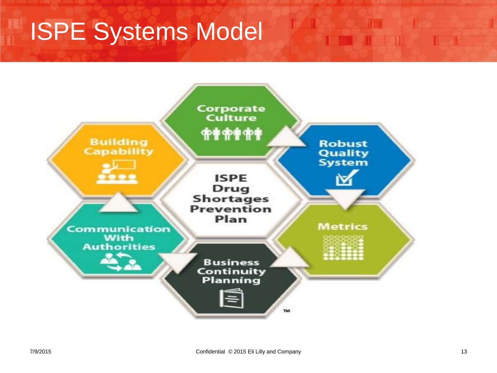# **ISPE Systems Model**



**BOAT THE**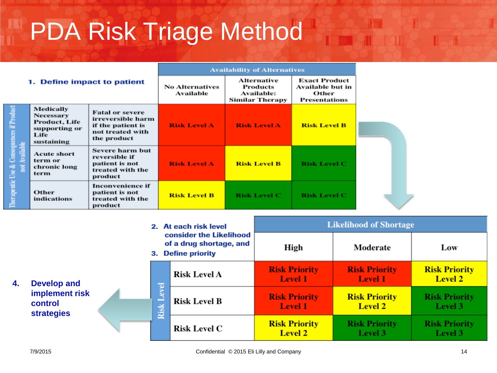# PDA Risk Triage Method

|                                                            |                                                                                              | <b>Availability of Alternatives</b>                                                                 |                                     |                                                                 |                                                                           |
|------------------------------------------------------------|----------------------------------------------------------------------------------------------|-----------------------------------------------------------------------------------------------------|-------------------------------------|-----------------------------------------------------------------|---------------------------------------------------------------------------|
| 1. Define impact to patient                                |                                                                                              |                                                                                                     | <b>No Alternatives</b><br>Available | Alternative<br>Products<br>Available:<br><b>Similar Therapy</b> | <b>Exact Product</b><br>Available but in<br>Other<br><b>Presentations</b> |
|                                                            | Medically<br><b>Necessary</b><br><b>Product, Life</b><br>supporting or<br>Life<br>sustaining | <b>Fatal or severe</b><br>irreversible harm<br>if the patient is<br>not treated with<br>the product | <b>Risk Level A</b>                 | <b>Risk Level A</b>                                             | <b>Risk Level B</b>                                                       |
| Therapeutic Use & Consequences if Product<br>not Available | <b>Acute short</b><br>term or<br>chronic long<br>term                                        | <b>Severe harm but</b><br>reversible if<br>patient is not<br>treated with the<br>product            | <b>Risk Level A</b>                 | <b>Risk Level B</b>                                             | <b>Risk Level C</b>                                                       |
|                                                            | <b>Other</b><br>indications                                                                  | Inconvenience if<br>patient is not<br>treated with the<br>product                                   | <b>Risk Level B</b>                 | <b>Risk Level C</b>                                             | <b>Risk Level C</b>                                                       |

|    |                                                                      |      | 2. At each risk level                                                    |                     | <b>Likelihood of Shortage</b>          |                                        |                                        |
|----|----------------------------------------------------------------------|------|--------------------------------------------------------------------------|---------------------|----------------------------------------|----------------------------------------|----------------------------------------|
| 4. | <b>Develop and</b><br>implement risk<br>control<br><b>strategies</b> |      | consider the Likelihood<br>of a drug shortage, and<br>3. Define priority |                     | High                                   | Moderate                               | Low                                    |
|    |                                                                      |      | <b>Talk</b>                                                              | <b>Risk Level A</b> | <b>Risk Priority</b><br><b>Level 1</b> | <b>Risk Priority</b><br><b>Level 1</b> | <b>Risk Priority</b><br><b>Level 2</b> |
|    |                                                                      | Risk |                                                                          | <b>Risk Level B</b> | <b>Risk Priority</b><br><b>Level 1</b> | <b>Risk Priority</b><br>Level 2        | <b>Risk Priority</b><br>Level 3        |
|    |                                                                      |      |                                                                          | <b>Risk Level C</b> | <b>Risk Priority</b><br><b>Level 2</b> | <b>Risk Priority</b><br>Level 3        | <b>Risk Priority</b><br>Level 3        |